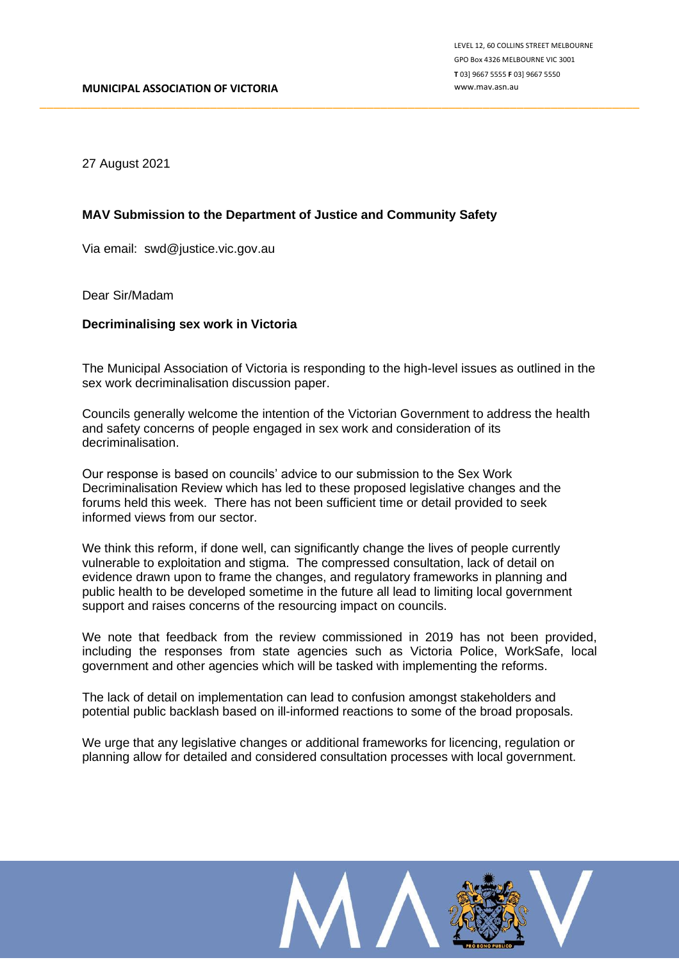27 August 2021

## **MAV Submission to the Department of Justice and Community Safety**

Via email: swd@justice.vic.gov.au

Dear Sir/Madam

#### **Decriminalising sex work in Victoria**

The Municipal Association of Victoria is responding to the high-level issues as outlined in the sex work decriminalisation discussion paper.

\_\_\_\_\_\_\_\_\_\_\_\_\_\_\_\_\_\_\_\_\_\_\_\_\_\_\_\_\_\_\_\_\_\_\_\_\_\_\_\_\_\_\_\_\_\_\_\_\_\_\_\_\_\_\_\_\_\_\_\_\_\_\_\_\_\_\_\_\_\_\_\_\_\_\_\_\_\_\_\_\_\_\_\_\_\_\_\_

Councils generally welcome the intention of the Victorian Government to address the health and safety concerns of people engaged in sex work and consideration of its decriminalisation.

Our response is based on councils' advice to our submission to the Sex Work Decriminalisation Review which has led to these proposed legislative changes and the forums held this week. There has not been sufficient time or detail provided to seek informed views from our sector.

We think this reform, if done well, can significantly change the lives of people currently vulnerable to exploitation and stigma. The compressed consultation, lack of detail on evidence drawn upon to frame the changes, and regulatory frameworks in planning and public health to be developed sometime in the future all lead to limiting local government support and raises concerns of the resourcing impact on councils.

We note that feedback from the review commissioned in 2019 has not been provided, including the responses from state agencies such as Victoria Police, WorkSafe, local government and other agencies which will be tasked with implementing the reforms.

The lack of detail on implementation can lead to confusion amongst stakeholders and potential public backlash based on ill-informed reactions to some of the broad proposals.

We urge that any legislative changes or additional frameworks for licencing, regulation or planning allow for detailed and considered consultation processes with local government.

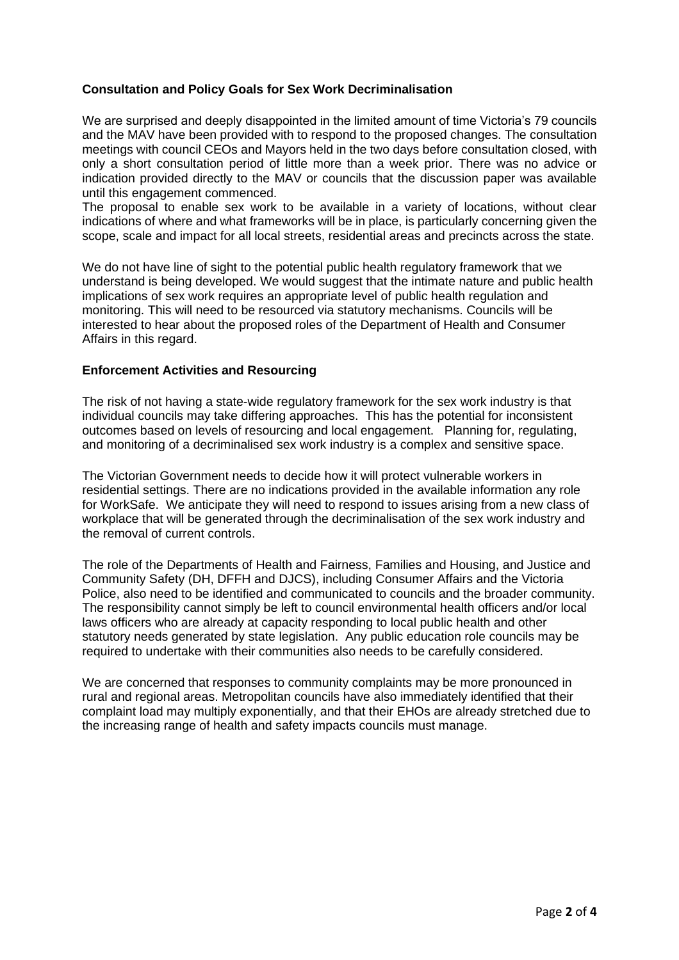# **Consultation and Policy Goals for Sex Work Decriminalisation**

We are surprised and deeply disappointed in the limited amount of time Victoria's 79 councils and the MAV have been provided with to respond to the proposed changes. The consultation meetings with council CEOs and Mayors held in the two days before consultation closed, with only a short consultation period of little more than a week prior. There was no advice or indication provided directly to the MAV or councils that the discussion paper was available until this engagement commenced.

The proposal to enable sex work to be available in a variety of locations, without clear indications of where and what frameworks will be in place, is particularly concerning given the scope, scale and impact for all local streets, residential areas and precincts across the state.

We do not have line of sight to the potential public health regulatory framework that we understand is being developed. We would suggest that the intimate nature and public health implications of sex work requires an appropriate level of public health regulation and monitoring. This will need to be resourced via statutory mechanisms. Councils will be interested to hear about the proposed roles of the Department of Health and Consumer Affairs in this regard.

## **Enforcement Activities and Resourcing**

The risk of not having a state-wide regulatory framework for the sex work industry is that individual councils may take differing approaches. This has the potential for inconsistent outcomes based on levels of resourcing and local engagement. Planning for, regulating, and monitoring of a decriminalised sex work industry is a complex and sensitive space.

The Victorian Government needs to decide how it will protect vulnerable workers in residential settings. There are no indications provided in the available information any role for WorkSafe. We anticipate they will need to respond to issues arising from a new class of workplace that will be generated through the decriminalisation of the sex work industry and the removal of current controls.

The role of the Departments of Health and Fairness, Families and Housing, and Justice and Community Safety (DH, DFFH and DJCS), including Consumer Affairs and the Victoria Police, also need to be identified and communicated to councils and the broader community. The responsibility cannot simply be left to council environmental health officers and/or local laws officers who are already at capacity responding to local public health and other statutory needs generated by state legislation. Any public education role councils may be required to undertake with their communities also needs to be carefully considered.

We are concerned that responses to community complaints may be more pronounced in rural and regional areas. Metropolitan councils have also immediately identified that their complaint load may multiply exponentially, and that their EHOs are already stretched due to the increasing range of health and safety impacts councils must manage.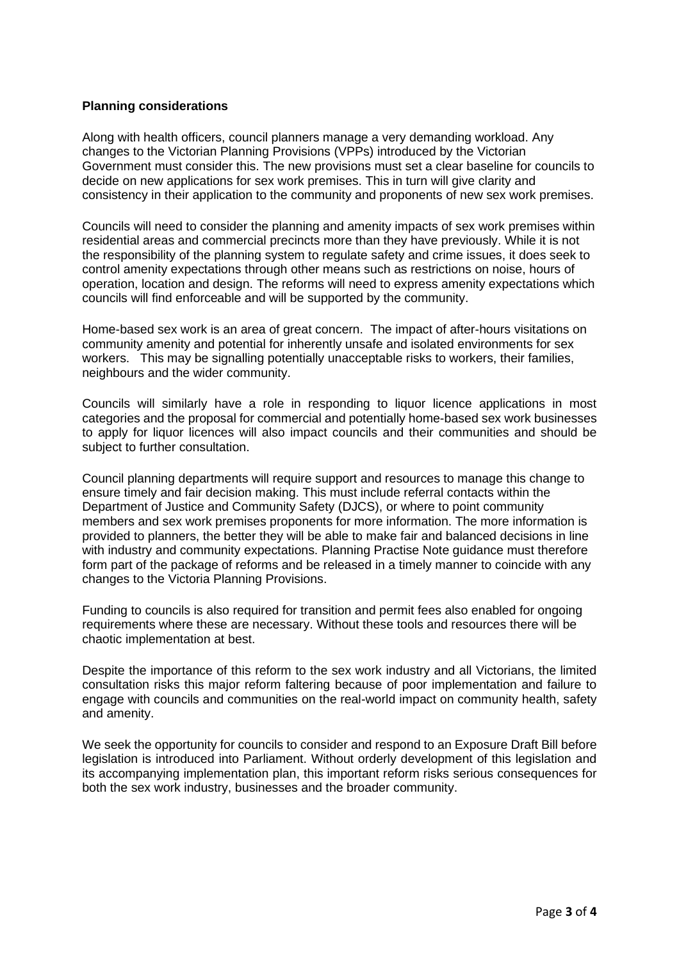# **Planning considerations**

Along with health officers, council planners manage a very demanding workload. Any changes to the Victorian Planning Provisions (VPPs) introduced by the Victorian Government must consider this. The new provisions must set a clear baseline for councils to decide on new applications for sex work premises. This in turn will give clarity and consistency in their application to the community and proponents of new sex work premises.

Councils will need to consider the planning and amenity impacts of sex work premises within residential areas and commercial precincts more than they have previously. While it is not the responsibility of the planning system to regulate safety and crime issues, it does seek to control amenity expectations through other means such as restrictions on noise, hours of operation, location and design. The reforms will need to express amenity expectations which councils will find enforceable and will be supported by the community.

Home-based sex work is an area of great concern. The impact of after-hours visitations on community amenity and potential for inherently unsafe and isolated environments for sex workers. This may be signalling potentially unacceptable risks to workers, their families, neighbours and the wider community.

Councils will similarly have a role in responding to liquor licence applications in most categories and the proposal for commercial and potentially home-based sex work businesses to apply for liquor licences will also impact councils and their communities and should be subject to further consultation.

Council planning departments will require support and resources to manage this change to ensure timely and fair decision making. This must include referral contacts within the Department of Justice and Community Safety (DJCS), or where to point community members and sex work premises proponents for more information. The more information is provided to planners, the better they will be able to make fair and balanced decisions in line with industry and community expectations. Planning Practise Note guidance must therefore form part of the package of reforms and be released in a timely manner to coincide with any changes to the Victoria Planning Provisions.

Funding to councils is also required for transition and permit fees also enabled for ongoing requirements where these are necessary. Without these tools and resources there will be chaotic implementation at best.

Despite the importance of this reform to the sex work industry and all Victorians, the limited consultation risks this major reform faltering because of poor implementation and failure to engage with councils and communities on the real-world impact on community health, safety and amenity.

We seek the opportunity for councils to consider and respond to an Exposure Draft Bill before legislation is introduced into Parliament. Without orderly development of this legislation and its accompanying implementation plan, this important reform risks serious consequences for both the sex work industry, businesses and the broader community.